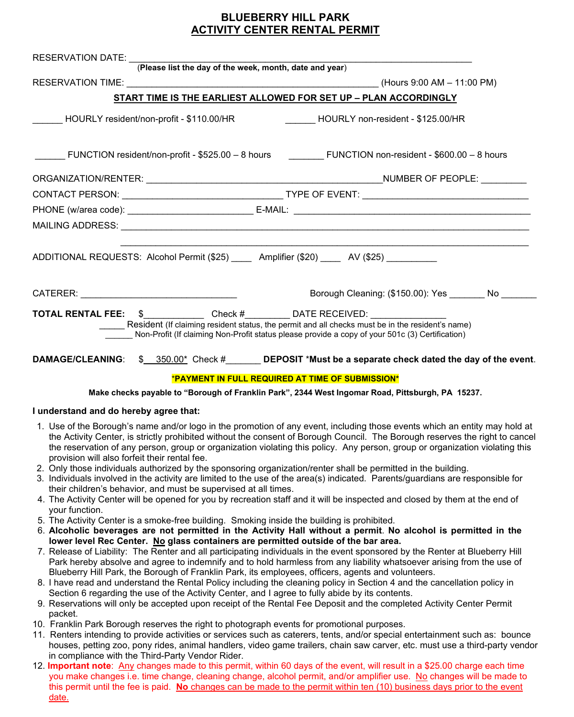## **BLUEBERRY HILL PARK ACTIVITY CENTER RENTAL PERMIT**

| RESERVATION DATE: <i>(Please list the day of the week, month, date and year)</i>          |                                                                                                                                                                                                     |  |
|-------------------------------------------------------------------------------------------|-----------------------------------------------------------------------------------------------------------------------------------------------------------------------------------------------------|--|
|                                                                                           |                                                                                                                                                                                                     |  |
|                                                                                           | START TIME IS THE EARLIEST ALLOWED FOR SET UP - PLAN ACCORDINGLY                                                                                                                                    |  |
|                                                                                           | _____ HOURLY resident/non-profit - \$110.00/HR      ______ HOURLY non-resident - \$125.00/HR                                                                                                        |  |
|                                                                                           | FUNCTION resident/non-profit - \$525.00 - 8 hours FUNCTION non-resident - \$600.00 - 8 hours                                                                                                        |  |
|                                                                                           |                                                                                                                                                                                                     |  |
|                                                                                           |                                                                                                                                                                                                     |  |
|                                                                                           |                                                                                                                                                                                                     |  |
|                                                                                           |                                                                                                                                                                                                     |  |
| ADDITIONAL REQUESTS: Alcohol Permit (\$25) _____ Amplifier (\$20) ____ AV (\$25) ________ |                                                                                                                                                                                                     |  |
|                                                                                           | Borough Cleaning: (\$150.00): Yes No                                                                                                                                                                |  |
| <b>TOTAL RENTAL FEE:</b> \$ _______________Check #___________DATE RECEIVED: ____________  | Resident (If claiming resident status, the permit and all checks must be in the resident's name)<br>Non-Profit (If claiming Non-Profit status please provide a copy of your 501c (3) Certification) |  |
|                                                                                           | DAMAGE/CLEANING: \$ 350.00* Check # DEPOSIT *Must be a separate check dated the day of the event.                                                                                                   |  |
|                                                                                           | *PAYMENT IN FULL REQUIRED AT TIME OF SUBMISSION*                                                                                                                                                    |  |

**Make checks payable to "Borough of Franklin Park", 2344 West Ingomar Road, Pittsburgh, PA 15237.**

### **I understand and do hereby agree that:**

- 1. Use of the Borough's name and/or logo in the promotion of any event, including those events which an entity may hold at the Activity Center, is strictly prohibited without the consent of Borough Council. The Borough reserves the right to cancel the reservation of any person, group or organization violating this policy. Any person, group or organization violating this provision will also forfeit their rental fee.
- 2. Only those individuals authorized by the sponsoring organization/renter shall be permitted in the building.
- 3. Individuals involved in the activity are limited to the use of the area(s) indicated. Parents/guardians are responsible for their children's behavior, and must be supervised at all times.
- 4. The Activity Center will be opened for you by recreation staff and it will be inspected and closed by them at the end of your function.
- 5. The Activity Center is a smoke-free building. Smoking inside the building is prohibited.
- 6. **Alcoholic beverages are not permitted in the Activity Hall without a permit**. **No alcohol is permitted in the lower level Rec Center. No glass containers are permitted outside of the bar area.**
- 7. Release of Liability: The Renter and all participating individuals in the event sponsored by the Renter at Blueberry Hill Park hereby absolve and agree to indemnify and to hold harmless from any liability whatsoever arising from the use of Blueberry Hill Park, the Borough of Franklin Park, its employees, officers, agents and volunteers.
- 8. I have read and understand the Rental Policy including the cleaning policy in Section 4 and the cancellation policy in Section 6 regarding the use of the Activity Center, and I agree to fully abide by its contents.
- 9. Reservations will only be accepted upon receipt of the Rental Fee Deposit and the completed Activity Center Permit packet.
- 10. Franklin Park Borough reserves the right to photograph events for promotional purposes.
- 11. Renters intending to provide activities or services such as caterers, tents, and/or special entertainment such as: bounce houses, petting zoo, pony rides, animal handlers, video game trailers, chain saw carver, etc. must use a third-party vendor in compliance with the Third-Party Vendor Rider.
- 12. **Important note**: Any changes made to this permit, within 60 days of the event, will result in a \$25.00 charge each time you make changes i.e. time change, cleaning change, alcohol permit, and/or amplifier use. No changes will be made to this permit until the fee is paid. **No** changes can be made to the permit within ten (10) business days prior to the event date.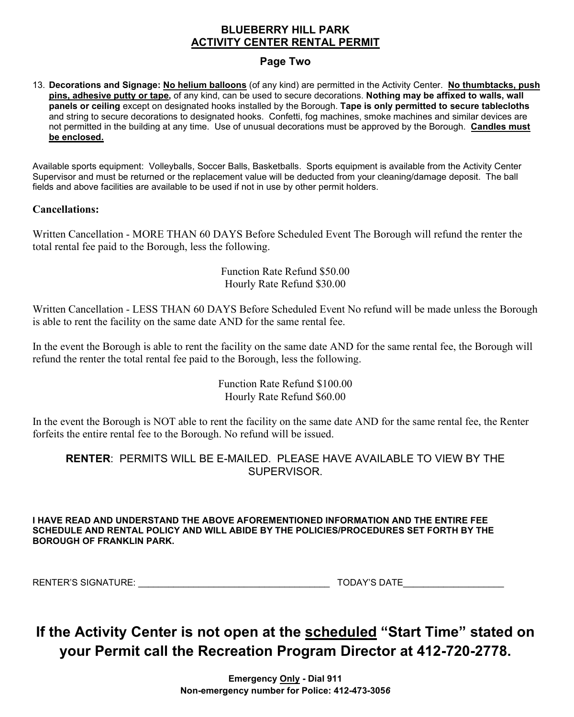### **BLUEBERRY HILL PARK ACTIVITY CENTER RENTAL PERMIT**

## **Page Two**

13. **Decorations and Signage: No helium balloons** (of any kind) are permitted in the Activity Center. **No thumbtacks, push pins, adhesive putty or tape,** of any kind, can be used to secure decorations. **Nothing may be affixed to walls, wall panels or ceiling** except on designated hooks installed by the Borough. **Tape is only permitted to secure tablecloths** and string to secure decorations to designated hooks. Confetti, fog machines, smoke machines and similar devices are not permitted in the building at any time. Use of unusual decorations must be approved by the Borough. **Candles must be enclosed.** 

Available sports equipment: Volleyballs, Soccer Balls, Basketballs. Sports equipment is available from the Activity Center Supervisor and must be returned or the replacement value will be deducted from your cleaning/damage deposit. The ball fields and above facilities are available to be used if not in use by other permit holders.

## **Cancellations:**

Written Cancellation - MORE THAN 60 DAYS Before Scheduled Event The Borough will refund the renter the total rental fee paid to the Borough, less the following.

> Function Rate Refund \$50.00 Hourly Rate Refund \$30.00

Written Cancellation - LESS THAN 60 DAYS Before Scheduled Event No refund will be made unless the Borough is able to rent the facility on the same date AND for the same rental fee.

In the event the Borough is able to rent the facility on the same date AND for the same rental fee, the Borough will refund the renter the total rental fee paid to the Borough, less the following.

> Function Rate Refund \$100.00 Hourly Rate Refund \$60.00

In the event the Borough is NOT able to rent the facility on the same date AND for the same rental fee, the Renter forfeits the entire rental fee to the Borough. No refund will be issued.

## **RENTER**: PERMITS WILL BE E-MAILED. PLEASE HAVE AVAILABLE TO VIEW BY THE SUPERVISOR.

**I HAVE READ AND UNDERSTAND THE ABOVE AFOREMENTIONED INFORMATION AND THE ENTIRE FEE SCHEDULE AND RENTAL POLICY AND WILL ABIDE BY THE POLICIES/PROCEDURES SET FORTH BY THE BOROUGH OF FRANKLIN PARK.**

RENTER'S SIGNATURE: \_\_\_\_\_\_\_\_\_\_\_\_\_\_\_\_\_\_\_\_\_\_\_\_\_\_\_\_\_\_\_\_\_\_\_\_\_\_ TODAY'S DATE\_\_\_\_\_\_\_\_\_\_\_\_\_\_\_\_\_\_\_\_

## **If the Activity Center is not open at the scheduled "Start Time" stated on your Permit call the Recreation Program Director at 412-720-2778.**

**Emergency Only - Dial 911 Non-emergency number for Police: 412-473-305***6*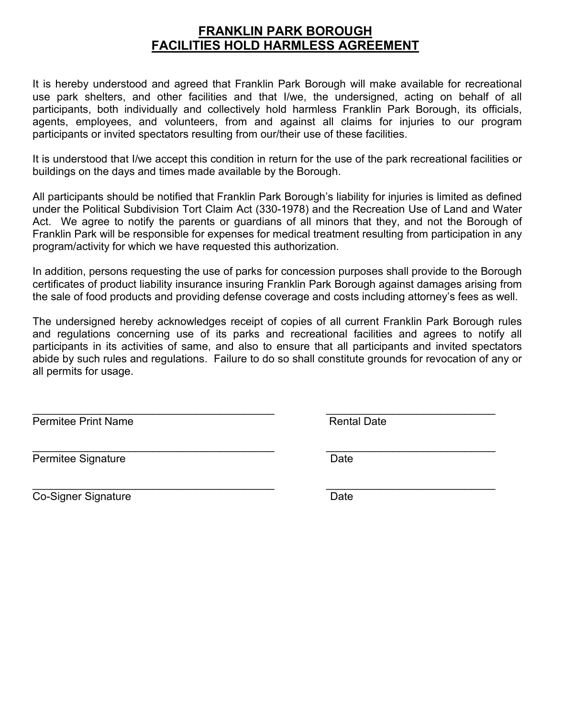## **FRANKLIN PARK BOROUGH FACILITIES HOLD HARMLESS AGREEMENT**

It is hereby understood and agreed that Franklin Park Borough will make available for recreational use park shelters, and other facilities and that I/we, the undersigned, acting on behalf of all participants, both individually and collectively hold harmless Franklin Park Borough, its officials, agents, employees, and volunteers, from and against all claims for injuries to our program participants or invited spectators resulting from our/their use of these facilities.

It is understood that I/we accept this condition in return for the use of the park recreational facilities or buildings on the days and times made available by the Borough.

All participants should be notified that Franklin Park Borough's liability for injuries is limited as defined under the Political Subdivision Tort Claim Act (330-1978) and the Recreation Use of Land and Water Act. We agree to notify the parents or guardians of all minors that they, and not the Borough of Franklin Park will be responsible for expenses for medical treatment resulting from participation in any program/activity for which we have requested this authorization.

In addition, persons requesting the use of parks for concession purposes shall provide to the Borough certificates of product liability insurance insuring Franklin Park Borough against damages arising from the sale of food products and providing defense coverage and costs including attorney's fees as well.

The undersigned hereby acknowledges receipt of copies of all current Franklin Park Borough rules and regulations concerning use of its parks and recreational facilities and agrees to notify all participants in its activities of same, and also to ensure that all participants and invited spectators abide by such rules and regulations. Failure to do so shall constitute grounds for revocation of any or all permits for usage.

\_\_\_\_\_\_\_\_\_\_\_\_\_\_\_\_\_\_\_\_\_\_\_\_\_\_\_\_\_\_\_\_\_\_\_\_\_\_\_\_ \_\_\_\_\_\_\_\_\_\_\_\_\_\_\_\_\_\_\_\_\_\_\_\_\_\_\_\_

Permitee Print Name **Rental Date** Rental Date

\_\_\_\_\_\_\_\_\_\_\_\_\_\_\_\_\_\_\_\_\_\_\_\_\_\_\_\_\_\_\_\_\_\_\_\_\_\_\_\_ \_\_\_\_\_\_\_\_\_\_\_\_\_\_\_\_\_\_\_\_\_\_\_\_\_\_\_\_ Permitee Signature **Date** 

Co-Signer Signature Date Date

\_\_\_\_\_\_\_\_\_\_\_\_\_\_\_\_\_\_\_\_\_\_\_\_\_\_\_\_\_\_\_\_\_\_\_\_\_\_\_\_ \_\_\_\_\_\_\_\_\_\_\_\_\_\_\_\_\_\_\_\_\_\_\_\_\_\_\_\_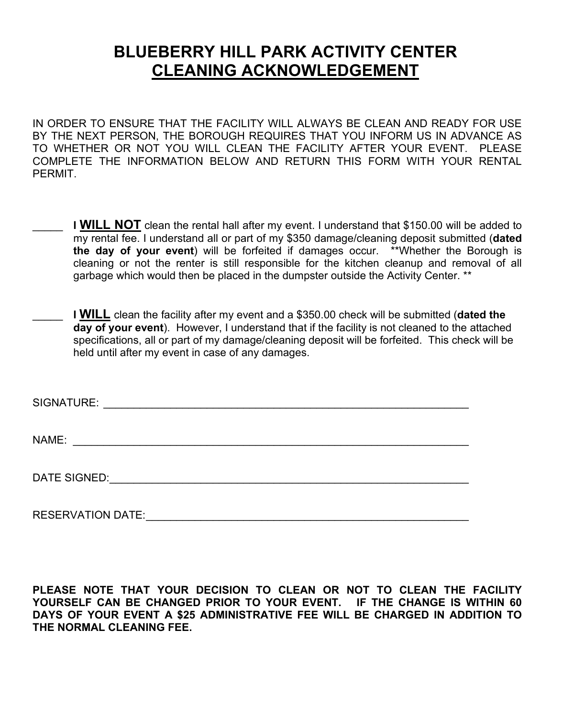# **BLUEBERRY HILL PARK ACTIVITY CENTER CLEANING ACKNOWLEDGEMENT**

IN ORDER TO ENSURE THAT THE FACILITY WILL ALWAYS BE CLEAN AND READY FOR USE BY THE NEXT PERSON, THE BOROUGH REQUIRES THAT YOU INFORM US IN ADVANCE AS TO WHETHER OR NOT YOU WILL CLEAN THE FACILITY AFTER YOUR EVENT. PLEASE COMPLETE THE INFORMATION BELOW AND RETURN THIS FORM WITH YOUR RENTAL **PFRMIT** 

- **I WILL NOT** clean the rental hall after my event. I understand that \$150.00 will be added to my rental fee. I understand all or part of my \$350 damage/cleaning deposit submitted (**dated the day of your event**) will be forfeited if damages occur. \*\*Whether the Borough is cleaning or not the renter is still responsible for the kitchen cleanup and removal of all garbage which would then be placed in the dumpster outside the Activity Center. \*\*
- **I WILL** clean the facility after my event and a \$350.00 check will be submitted (**dated the day of your event**). However, I understand that if the facility is not cleaned to the attached specifications, all or part of my damage/cleaning deposit will be forfeited. This check will be held until after my event in case of any damages.

SIGNATURE: \_\_\_\_\_\_\_\_\_\_\_\_\_\_\_\_\_\_\_\_\_\_\_\_\_\_\_\_\_\_\_\_\_\_\_\_\_\_\_\_\_\_\_\_\_\_\_\_\_\_\_\_\_\_\_\_\_\_\_\_

NAME: \_\_\_\_\_\_\_\_\_\_\_\_\_\_\_\_\_\_\_\_\_\_\_\_\_\_\_\_\_\_\_\_\_\_\_\_\_\_\_\_\_\_\_\_\_\_\_\_\_\_\_\_\_\_\_\_\_\_\_\_\_\_\_\_\_

DATE SIGNED:\_\_\_\_\_\_\_\_\_\_\_\_\_\_\_\_\_\_\_\_\_\_\_\_\_\_\_\_\_\_\_\_\_\_\_\_\_\_\_\_\_\_\_\_\_\_\_\_\_\_\_\_\_\_\_\_\_\_\_

RESERVATION DATE:\_\_\_\_\_\_\_\_\_\_\_\_\_\_\_\_\_\_\_\_\_\_\_\_\_\_\_\_\_\_\_\_\_\_\_\_\_\_\_\_\_\_\_\_\_\_\_\_\_\_\_\_\_

**PLEASE NOTE THAT YOUR DECISION TO CLEAN OR NOT TO CLEAN THE FACILITY YOURSELF CAN BE CHANGED PRIOR TO YOUR EVENT. IF THE CHANGE IS WITHIN 60 DAYS OF YOUR EVENT A \$25 ADMINISTRATIVE FEE WILL BE CHARGED IN ADDITION TO THE NORMAL CLEANING FEE.**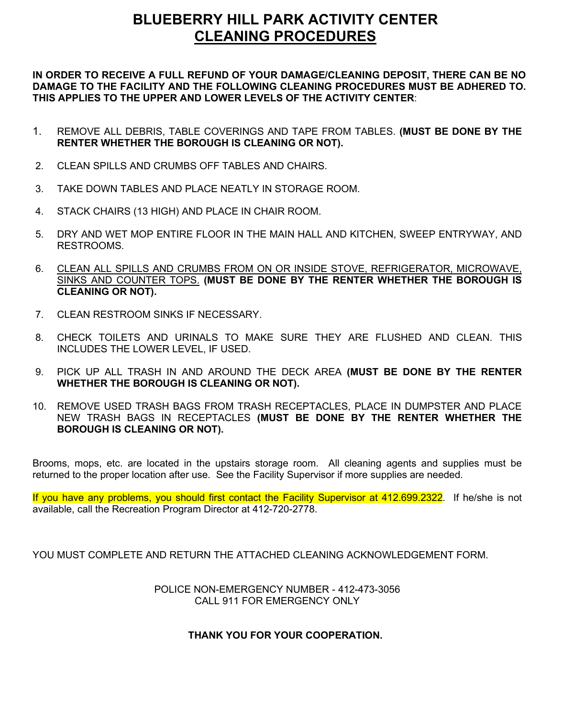## **BLUEBERRY HILL PARK ACTIVITY CENTER CLEANING PROCEDURES**

**IN ORDER TO RECEIVE A FULL REFUND OF YOUR DAMAGE/CLEANING DEPOSIT, THERE CAN BE NO DAMAGE TO THE FACILITY AND THE FOLLOWING CLEANING PROCEDURES MUST BE ADHERED TO. THIS APPLIES TO THE UPPER AND LOWER LEVELS OF THE ACTIVITY CENTER**:

- 1. REMOVE ALL DEBRIS, TABLE COVERINGS AND TAPE FROM TABLES. **(MUST BE DONE BY THE RENTER WHETHER THE BOROUGH IS CLEANING OR NOT).**
- 2. CLEAN SPILLS AND CRUMBS OFF TABLES AND CHAIRS.
- 3. TAKE DOWN TABLES AND PLACE NEATLY IN STORAGE ROOM.
- 4. STACK CHAIRS (13 HIGH) AND PLACE IN CHAIR ROOM.
- 5. DRY AND WET MOP ENTIRE FLOOR IN THE MAIN HALL AND KITCHEN, SWEEP ENTRYWAY, AND RESTROOMS.
- 6. CLEAN ALL SPILLS AND CRUMBS FROM ON OR INSIDE STOVE, REFRIGERATOR, MICROWAVE, SINKS AND COUNTER TOPS. **(MUST BE DONE BY THE RENTER WHETHER THE BOROUGH IS CLEANING OR NOT).**
- 7. CLEAN RESTROOM SINKS IF NECESSARY.
- 8. CHECK TOILETS AND URINALS TO MAKE SURE THEY ARE FLUSHED AND CLEAN. THIS INCLUDES THE LOWER LEVEL, IF USED.
- 9. PICK UP ALL TRASH IN AND AROUND THE DECK AREA **(MUST BE DONE BY THE RENTER WHETHER THE BOROUGH IS CLEANING OR NOT).**
- 10. REMOVE USED TRASH BAGS FROM TRASH RECEPTACLES, PLACE IN DUMPSTER AND PLACE NEW TRASH BAGS IN RECEPTACLES **(MUST BE DONE BY THE RENTER WHETHER THE BOROUGH IS CLEANING OR NOT).**

Brooms, mops, etc. are located in the upstairs storage room. All cleaning agents and supplies must be returned to the proper location after use. See the Facility Supervisor if more supplies are needed.

If you have any problems, you should first contact the Facility Supervisor at 412.699.2322. If he/she is not available, call the Recreation Program Director at 412-720-2778.

YOU MUST COMPLETE AND RETURN THE ATTACHED CLEANING ACKNOWLEDGEMENT FORM.

POLICE NON-EMERGENCY NUMBER - 412-473-3056 CALL 911 FOR EMERGENCY ONLY

### **THANK YOU FOR YOUR COOPERATION.**